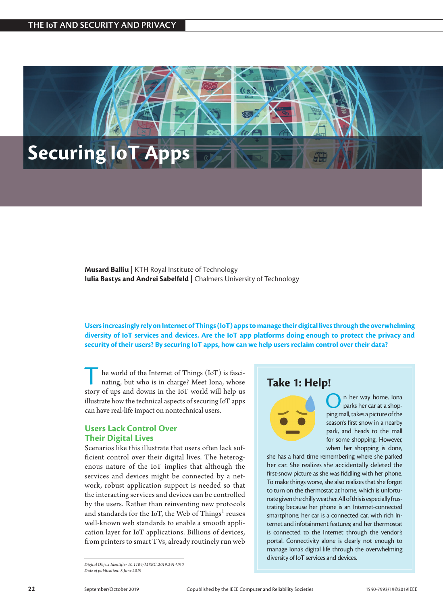

**Musard Balliu |** KTH Royal Institute of Technology **Iulia Bastys and Andrei Sabelfeld |** Chalmers University of Technology

**Users increasingly rely on Internet of Things (IoT) apps to manage their digital lives through the overwhelming diversity of IoT services and devices. Are the IoT app platforms doing enough to protect the privacy and security of their users? By securing IoT apps, how can we help users reclaim control over their data?**

The world of the Internet of Things (IoT) is fascinating, but who is in charge? Meet Iona, whose story of ups and downs in the IoT world will help us illustrate how the technical aspects of securing IoT apps can have real-life impact on nontechnical users.

## **Users Lack Control Over Their Digital Lives**

Scenarios like this illustrate that users often lack sufficient control over their digital lives. The heterogenous nature of the IoT implies that although the services and devices might be connected by a network, robust application support is needed so that the interacting services and devices can be controlled by the users. Rather than reinventing new protocols and standards for the IoT, the Web of Things<sup>1</sup> reuses well-known web standards to enable a smooth application layer for IoT applications. Billions of devices, from printers to smart TVs, already routinely run web

# **Take 1: Help!**



On her way home, Iona parks her car at a shopping mall, takes a picture of the season's first snow in a nearby park, and heads to the mall for some shopping. However, when her shopping is done,

she has a hard time remembering where she parked her car. She realizes she accidentally deleted the first-snow picture as she was fiddling with her phone. To make things worse, she also realizes that she forgot to turn on the thermostat at home, which is unfortunate given the chilly weather. All of this is especially frustrating because her phone is an Internet-connected smartphone; her car is a connected car, with rich Internet and infotainment features; and her thermostat is connected to the Internet through the vendor's portal. Connectivity alone is clearly not enough to manage Iona's digital life through the overwhelming diversity of IoT services and devices.

*Digital Object Identifier 10.1109/MSEC.2019.2914190 Date of publication: 5 June 2019*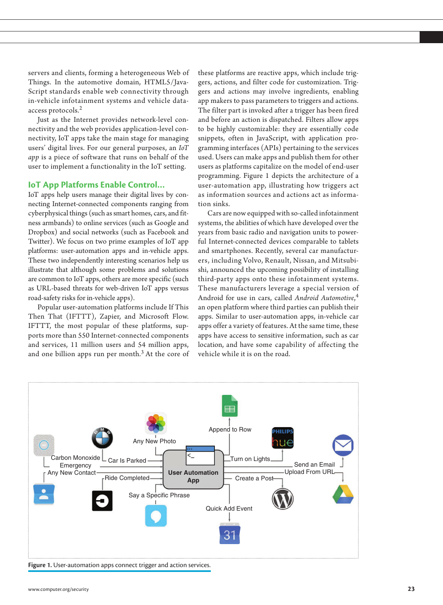servers and clients, forming a heterogeneous Web of Things. In the automotive domain, HTML5/Java-Script standards enable web connectivity through in-vehicle infotainment systems and vehicle dataaccess protocols.<sup>2</sup>

Just as the Internet provides network-level connectivity and the web provides application-level connectivity, IoT apps take the main stage for managing users' digital lives. For our general purposes, an *IoT app* is a piece of software that runs on behalf of the user to implement a functionality in the IoT setting.

#### **IoT App Platforms Enable Control…**

IoT apps help users manage their digital lives by connecting Internet-connected components ranging from cyberphysical things (such as smart homes, cars, and fitness armbands) to online services (such as Google and Dropbox) and social networks (such as Facebook and Twitter). We focus on two prime examples of IoT app platforms: user-automation apps and in-vehicle apps. These two independently interesting scenarios help us illustrate that although some problems and solutions are common to IoT apps, others are more specific (such as URL-based threats for web-driven IoT apps versus road-safety risks for in-vehicle apps).

Popular user-automation platforms include If This Then That (IFTTT), Zapier, and Microsoft Flow. IFTTT, the most popular of these platforms, supports more than 550 Internet-connected components and services, 11 million users and 54 million apps, and one billion apps run per month.<sup>3</sup> At the core of these platforms are reactive apps, which include triggers, actions, and filter code for customization. Triggers and actions may involve ingredients, enabling app makers to pass parameters to triggers and actions. The filter part is invoked after a trigger has been fired and before an action is dispatched. Filters allow apps to be highly customizable: they are essentially code snippets, often in JavaScript, with application programming interfaces (APIs) pertaining to the services used. Users can make apps and publish them for other users as platforms capitalize on the model of end-user programming. Figure 1 depicts the architecture of a user-automation app, illustrating how triggers act as information sources and actions act as information sinks.

Cars are now equipped with so-called infotainment systems, the abilities of which have developed over the years from basic radio and navigation units to powerful Internet-connected devices comparable to tablets and smartphones. Recently, several car manufacturers, including Volvo, Renault, Nissan, and Mitsubishi, announced the upcoming possibility of installing third-party apps onto these infotainment systems. These manufacturers leverage a special version of Android for use in cars, called *Android Automotive*, 4 an open platform where third parties can publish their apps. Similar to user-automation apps, in-vehicle car apps offer a variety of features. At the same time, these apps have access to sensitive information, such as car location, and have some capability of affecting the vehicle while it is on the road.



**Figure 1.** User-automation apps connect trigger and action services.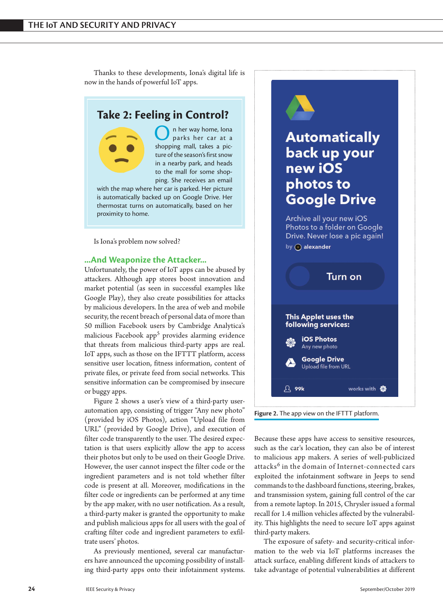Thanks to these developments, Iona's digital life is now in the hands of powerful IoT apps.

# **Take 2: Feeling in Control?**

n her way home, Iona parks her car at a shopping mall, takes a picture of the season's first snow in a nearby park, and heads to the mall for some shopping. She receives an email

with the map where her car is parked. Her picture is automatically backed up on Google Drive. Her thermostat turns on automatically, based on her proximity to home.

Is Iona's problem now solved?

#### **...And Weaponize the Attacker...**

Unfortunately, the power of IoT apps can be abused by attackers. Although app stores boost innovation and market potential (as seen in successful examples like Google Play), they also create possibilities for attacks by malicious developers. In the area of web and mobile security, the recent breach of personal data of more than 50 million Facebook users by Cambridge Analytica's malicious Facebook app<sup>5</sup> provides alarming evidence that threats from malicious third-party apps are real. IoT apps, such as those on the IFTTT platform, access sensitive user location, fitness information, content of private files, or private feed from social networks. This sensitive information can be compromised by insecure or buggy apps.

Figure 2 shows a user's view of a third-party userautomation app, consisting of trigger "Any new photo" (provided by iOS Photos), action "Upload file from URL" (provided by Google Drive), and execution of filter code transparently to the user. The desired expectation is that users explicitly allow the app to access their photos but only to be used on their Google Drive. However, the user cannot inspect the filter code or the ingredient parameters and is not told whether filter code is present at all. Moreover, modifications in the filter code or ingredients can be performed at any time by the app maker, with no user notification. As a result, a third-party maker is granted the opportunity to make and publish malicious apps for all users with the goal of crafting filter code and ingredient parameters to exfiltrate users' photos.

As previously mentioned, several car manufacturers have announced the upcoming possibility of installing third-party apps onto their infotainment systems.

# **Automatically** back up your new iOS photos to **Google Drive**

Archive all your new iOS Photos to a folder on Google Drive. Never lose a pic again! by o alexander



**Figure 2.** The app view on the IFTTT platform.

Because these apps have access to sensitive resources, such as the car's location, they can also be of interest to malicious app makers. A series of well-publicized attacks<sup>6</sup> in the domain of Internet-connected cars exploited the infotainment software in Jeeps to send commands to the dashboard functions, steering, brakes, and transmission system, gaining full control of the car from a remote laptop. In 2015, Chrysler issued a formal recall for 1.4 million vehicles affected by the vulnerability. This highlights the need to secure IoT apps against third-party makers.

The exposure of safety- and security-critical information to the web via IoT platforms increases the attack surface, enabling different kinds of attackers to take advantage of potential vulnerabilities at different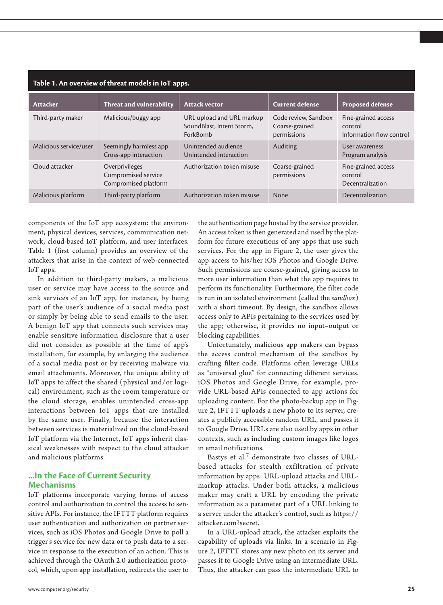| Table 1. An overview of threat models in IoT apps. |                                                               |                                                                    |                                                       |                                                            |
|----------------------------------------------------|---------------------------------------------------------------|--------------------------------------------------------------------|-------------------------------------------------------|------------------------------------------------------------|
| <b>Attacker</b>                                    | <b>Threat and vulnerability</b>                               | <b>Attack vector</b>                                               | <b>Current defense</b>                                | Proposed defense                                           |
| Third-party maker                                  | Malicious/buggy app                                           | URL upload and URL markup<br>SoundBlast, Intent Storm,<br>ForkBomb | Code review. Sandbox<br>Coarse-grained<br>permissions | Fine-grained access<br>control<br>Information flow control |
| Malicious service/user                             | Seemingly harmless app<br>Cross-app interaction               | Unintended audience<br>Unintended interaction                      | Auditing                                              | User awareness<br>Program analysis                         |
| Cloud attacker                                     | Overprivileges<br>Compromised service<br>Compromised platform | Authorization token misuse                                         | Coarse-grained<br>permissions                         | Fine-grained access<br>control<br>Decentralization         |
| Malicious platform                                 | Third-party platform                                          | Authorization token misuse                                         | None                                                  | Decentralization                                           |

components of the IoT app ecosystem: the environment, physical devices, services, communication network, cloud-based IoT platform, and user interfaces. Table 1 (first column) provides an overview of the attackers that arise in the context of web-connected IoT apps.

In addition to third-party makers, a malicious user or service may have access to the source and sink services of an IoT app, for instance, by being part of the user's audience of a social media post or simply by being able to send emails to the user. A benign IoT app that connects such services may enable sensitive information disclosure that a user did not consider as possible at the time of app's installation, for example, by enlarging the audience of a social media post or by receiving malware via email attachments. Moreover, the unique ability of IoT apps to affect the shared (physical and/or logical) environment, such as the room temperature or the cloud storage, enables unintended cross-app interactions between IoT apps that are installed by the same user. Finally, because the interaction between services is materialized on the cloud-based IoT platform via the Internet, IoT apps inherit classical weaknesses with respect to the cloud attacker and malicious platforms.

## **...In the Face of Current Security Mechanisms**

IoT platforms incorporate varying forms of access control and authorization to control the access to sensitive APIs. For instance, the IFTTT platform requires user authentication and authorization on partner services, such as iOS Photos and Google Drive to poll a trigger's service for new data or to push data to a service in response to the execution of an action. This is achieved through the OAuth 2.0 authorization protocol, which, upon app installation, redirects the user to the authentication page hosted by the service provider. An access token is then generated and used by the platform for future executions of any apps that use such services. For the app in Figure 2, the user gives the app access to his/her iOS Photos and Google Drive. Such permissions are coarse-grained, giving access to more user information than what the app requires to perform its functionality. Furthermore, the filter code is run in an isolated environment (called the *sandbox*) with a short timeout. By design, the sandbox allows access only to APIs pertaining to the services used by the app; otherwise, it provides no input–output or blocking capabilities.

Unfortunately, malicious app makers can bypass the access control mechanism of the sandbox by crafting filter code. Platforms often leverage URLs as "universal glue" for connecting different services. iOS Photos and Google Drive, for example, provide URL-based APIs connected to app actions for uploading content. For the photo-backup app in Figure 2, IFTTT uploads a new photo to its server, creates a publicly accessible random URL, and passes it to Google Drive. URLs are also used by apps in other contexts, such as including custom images like logos in email notifications.

Bastys et al. $7$  demonstrate two classes of URLbased attacks for stealth exfiltration of private information by apps: URL-upload attacks and URLmarkup attacks. Under both attacks, a malicious maker may craft a URL by encoding the private information as a parameter part of a URL linking to a server under the attacker's control, such as https:// attacker.com?secret.

In a URL-upload attack, the attacker exploits the capability of uploads via links. In a scenario in Figure 2, IFTTT stores any new photo on its server and passes it to Google Drive using an intermediate URL. Thus, the attacker can pass the intermediate URL to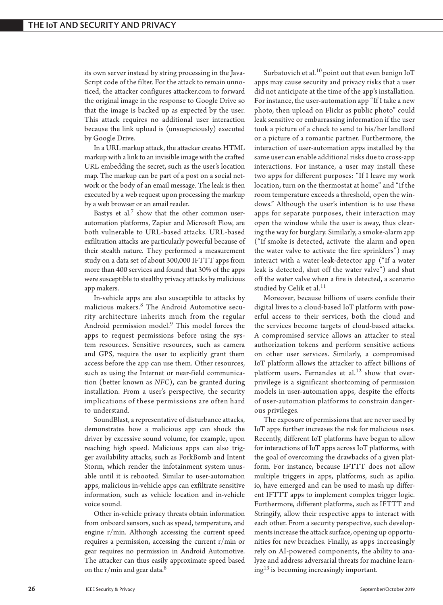its own server instead by string processing in the Java-Script code of the filter. For the attack to remain unnoticed, the attacker configures attacker.com to forward the original image in the response to Google Drive so that the image is backed up as expected by the user. This attack requires no additional user interaction because the link upload is (unsuspiciously) executed by Google Drive.

In a URL markup attack, the attacker creates HTML markup with a link to an invisible image with the crafted URL embedding the secret, such as the user's location map. The markup can be part of a post on a social network or the body of an email message. The leak is then executed by a web request upon processing the markup by a web browser or an email reader.

Bastys et al.<sup>7</sup> show that the other common userautomation platforms, Zapier and Microsoft Flow, are both vulnerable to URL-based attacks. URL-based exfiltration attacks are particularly powerful because of their stealth nature. They performed a measurement study on a data set of about 300,000 IFTTT apps from more than 400 services and found that 30% of the apps were susceptible to stealthy privacy attacks by malicious app makers.

In-vehicle apps are also susceptible to attacks by malicious makers.<sup>8</sup> The Android Automotive security architecture inherits much from the regular Android permission model.<sup>9</sup> This model forces the apps to request permissions before using the system resources. Sensitive resources, such as camera and GPS, require the user to explicitly grant them access before the app can use them. Other resources, such as using the Internet or near-field communication (better known as *NFC*), can be granted during installation. From a user's perspective, the security implications of these permissions are often hard to understand.

SoundBlast, a representative of disturbance attacks, demonstrates how a malicious app can shock the driver by excessive sound volume, for example, upon reaching high speed. Malicious apps can also trigger availability attacks, such as ForkBomb and Intent Storm, which render the infotainment system unusable until it is rebooted. Similar to user-automation apps, malicious in-vehicle apps can exfiltrate sensitive information, such as vehicle location and in-vehicle voice sound.

Other in-vehicle privacy threats obtain information from onboard sensors, such as speed, temperature, and engine r/min. Although accessing the current speed requires a permission, accessing the current r/min or gear requires no permission in Android Automotive. The attacker can thus easily approximate speed based on the r/min and gear data.<sup>8</sup>

Surbatovich et al.<sup>10</sup> point out that even benign IoT apps may cause security and privacy risks that a user did not anticipate at the time of the app's installation. For instance, the user-automation app "If I take a new photo, then upload on Flickr as public photo" could leak sensitive or embarrassing information if the user took a picture of a check to send to his/her landlord or a picture of a romantic partner. Furthermore, the interaction of user-automation apps installed by the same user can enable additional risks due to cross-app interactions. For instance, a user may install these two apps for different purposes: "If I leave my work location, turn on the thermostat at home" and "If the room temperature exceeds a threshold, open the windows." Although the user's intention is to use these apps for separate purposes, their interaction may open the window while the user is away, thus clearing the way for burglary. Similarly, a smoke-alarm app ("If smoke is detected, activate the alarm and open the water valve to activate the fire sprinklers") may interact with a water-leak-detector app ("If a water leak is detected, shut off the water valve") and shut off the water valve when a fire is detected, a scenario studied by Celik et al.<sup>11</sup>

Moreover, because billions of users confide their digital lives to a cloud-based IoT platform with powerful access to their services, both the cloud and the services become targets of cloud-based attacks. A compromised service allows an attacker to steal authorization tokens and perform sensitive actions on other user services. Similarly, a compromised IoT platform allows the attacker to affect billions of platform users. Fernandes et al. $^{12}$  show that overprivilege is a significant shortcoming of permission models in user-automation apps, despite the efforts of user-automation platforms to constrain dangerous privileges.

The exposure of permissions that are never used by IoT apps further increases the risk for malicious uses. Recently, different IoT platforms have begun to allow for interactions of IoT apps across IoT platforms, with the goal of overcoming the drawbacks of a given platform. For instance, because IFTTT does not allow multiple triggers in apps, platforms, such as apilio. io, have emerged and can be used to mash up different IFTTT apps to implement complex trigger logic. Furthermore, different platforms, such as IFTTT and Stringify, allow their respective apps to interact with each other. From a security perspective, such developments increase the attack surface, opening up opportunities for new breaches. Finally, as apps increasingly rely on AI-powered components, the ability to analyze and address adversarial threats for machine learn $ing<sup>13</sup>$  is becoming increasingly important.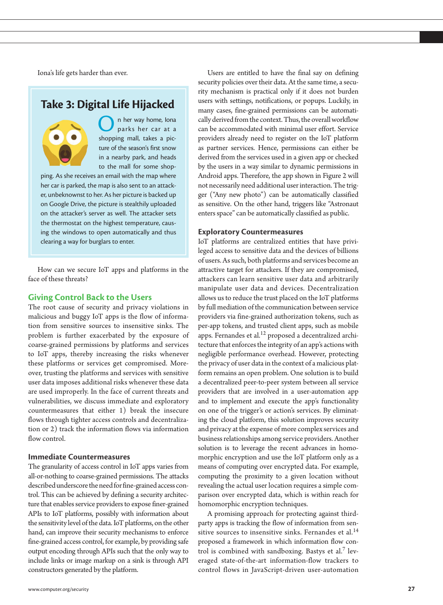Iona's life gets harder than ever.

# **Take 3: Digital Life Hijacked**



n her way home, Iona parks her car at a shopping mall, takes a picture of the season's first snow in a nearby park, and heads to the mall for some shop-

ping. As she receives an email with the map where her car is parked, the map is also sent to an attacker, unbeknownst to her. As her picture is backed up on Google Drive, the picture is stealthily uploaded on the attacker's server as well. The attacker sets the thermostat on the highest temperature, causing the windows to open automatically and thus clearing a way for burglars to enter.

How can we secure IoT apps and platforms in the face of these threats?

## **Giving Control Back to the Users**

The root cause of security and privacy violations in malicious and buggy IoT apps is the flow of information from sensitive sources to insensitive sinks. The problem is further exacerbated by the exposure of coarse-grained permissions by platforms and services to IoT apps, thereby increasing the risks whenever these platforms or services get compromised. Moreover, trusting the platforms and services with sensitive user data imposes additional risks whenever these data are used improperly. In the face of current threats and vulnerabilities, we discuss immediate and exploratory countermeasures that either 1) break the insecure flows through tighter access controls and decentralization or 2) track the information flows via information flow control.

#### **Immediate Countermeasures**

The granularity of access control in IoT apps varies from all-or-nothing to coarse-grained permissions. The attacks described underscore the need for fine-grained access control. This can be achieved by defining a security architecture that enables service providers to expose finer-grained APIs to IoT platforms, possibly with information about the sensitivity level of the data. IoT platforms, on the other hand, can improve their security mechanisms to enforce fine-grained access control, for example, by providing safe output encoding through APIs such that the only way to include links or image markup on a sink is through API constructors generated by the platform.

Users are entitled to have the final say on defining security policies over their data. At the same time, a security mechanism is practical only if it does not burden users with settings, notifications, or popups. Luckily, in many cases, fine-grained permissions can be automatically derived from the context. Thus, the overall workflow can be accommodated with minimal user effort. Service providers already need to register on the IoT platform as partner services. Hence, permissions can either be derived from the services used in a given app or checked by the users in a way similar to dynamic permissions in Android apps. Therefore, the app shown in Figure 2 will not necessarily need additional user interaction. The trigger ("Any new photo") can be automatically classified as sensitive. On the other hand, triggers like "Astronaut enters space" can be automatically classified as public.

#### **Exploratory Countermeasures**

IoT platforms are centralized entities that have privileged access to sensitive data and the devices of billions of users. As such, both platforms and services become an attractive target for attackers. If they are compromised, attackers can learn sensitive user data and arbitrarily manipulate user data and devices. Decentralization allows us to reduce the trust placed on the IoT platforms by full mediation of the communication between service providers via fine-grained authorization tokens, such as per-app tokens, and trusted client apps, such as mobile apps. Fernandes et al.<sup>12</sup> proposed a decentralized architecture that enforces the integrity of an app's actions with negligible performance overhead. However, protecting the privacy of user data in the context of a malicious platform remains an open problem. One solution is to build a decentralized peer-to-peer system between all service providers that are involved in a user-automation app and to implement and execute the app's functionality on one of the trigger's or action's services. By eliminating the cloud platform, this solution improves security and privacy at the expense of more complex services and business relationships among service providers. Another solution is to leverage the recent advances in homomorphic encryption and use the IoT platform only as a means of computing over encrypted data. For example, computing the proximity to a given location without revealing the actual user location requires a simple comparison over encrypted data, which is within reach for homomorphic encryption techniques.

A promising approach for protecting against thirdparty apps is tracking the flow of information from sensitive sources to insensitive sinks. Fernandes et al.<sup>14</sup> proposed a framework in which information flow control is combined with sandboxing. Bastys et al.<sup>7</sup> leveraged state-of-the-art information-flow trackers to control flows in JavaScript-driven user-automation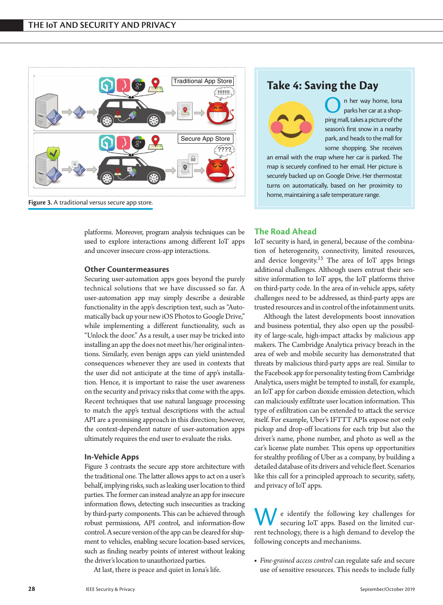

**Figure 3.** A traditional versus secure app store.

platforms. Moreover, program analysis techniques can be used to explore interactions among different IoT apps and uncover insecure cross-app interactions.

#### **Other Countermeasures**

Securing user-automation apps goes beyond the purely technical solutions that we have discussed so far. A user-automation app may simply describe a desirable functionality in the app's description text, such as "Automatically back up your new iOS Photos to Google Drive," while implementing a different functionality, such as "Unlock the door." As a result, a user may be tricked into installing an app the does not meet his/her original intentions. Similarly, even benign apps can yield unintended consequences whenever they are used in contexts that the user did not anticipate at the time of app's installation. Hence, it is important to raise the user awareness on the security and privacy risks that come with the apps. Recent techniques that use natural language processing to match the app's textual descriptions with the actual API are a promising approach in this direction; however, the context-dependent nature of user-automation apps ultimately requires the end user to evaluate the risks.

### **In-Vehicle Apps**

Figure 3 contrasts the secure app store architecture with the traditional one. The latter allows apps to act on a user's behalf, implying risks, such as leaking user location to third parties. The former can instead analyze an app for insecure information flows, detecting such insecurities as tracking by third-party components. This can be achieved through robust permissions, API control, and information-flow control. A secure version of the app can be cleared for shipment to vehicles, enabling secure location-based services, such as finding nearby points of interest without leaking the driver's location to unauthorized parties.

At last, there is peace and quiet in Iona's life.

# **Take 4: Saving the Day**



n her way home, Iona parks her car at a shopping mall, takes a picture of the season's first snow in a nearby park, and heads to the mall for some shopping. She receives

an email with the map where her car is parked. The map is securely confined to her email. Her picture is securely backed up on Google Drive. Her thermostat turns on automatically, based on her proximity to home, maintaining a safe temperature range.

## **The Road Ahead**

IoT security is hard, in general, because of the combination of heterogeneity, connectivity, limited resources, and device longevity.<sup>15</sup> The area of IoT apps brings additional challenges. Although users entrust their sensitive information to IoT apps, the IoT platforms thrive on third-party code. In the area of in-vehicle apps, safety challenges need to be addressed, as third-party apps are trusted resources and in control of the infotainment units.

Although the latest developments boost innovation and business potential, they also open up the possibility of large-scale, high-impact attacks by malicious app makers. The Cambridge Analytica privacy breach in the area of web and mobile security has demonstrated that threats by malicious third-party apps are real. Similar to the Facebook app for personality testing from Cambridge Analytica, users might be tempted to install, for example, an IoT app for carbon dioxide emission detection, which can maliciously exfiltrate user location information. This type of exfiltration can be extended to attack the service itself. For example, Uber's IFTTT APIs expose not only pickup and drop-off locations for each trip but also the driver's name, phone number, and photo as well as the car's license plate number. This opens up opportunities for stealthy profiling of Uber as a company, by building a detailed database of its drivers and vehicle fleet. Scenarios like this call for a principled approach to security, safety, and privacy of IoT apps.

e identify the following key challenges for securing IoT apps. Based on the limited current technology, there is a high demand to develop the following concepts and mechanisms.

■ *Fine-grained access control* can regulate safe and secure use of sensitive resources. This needs to include fully